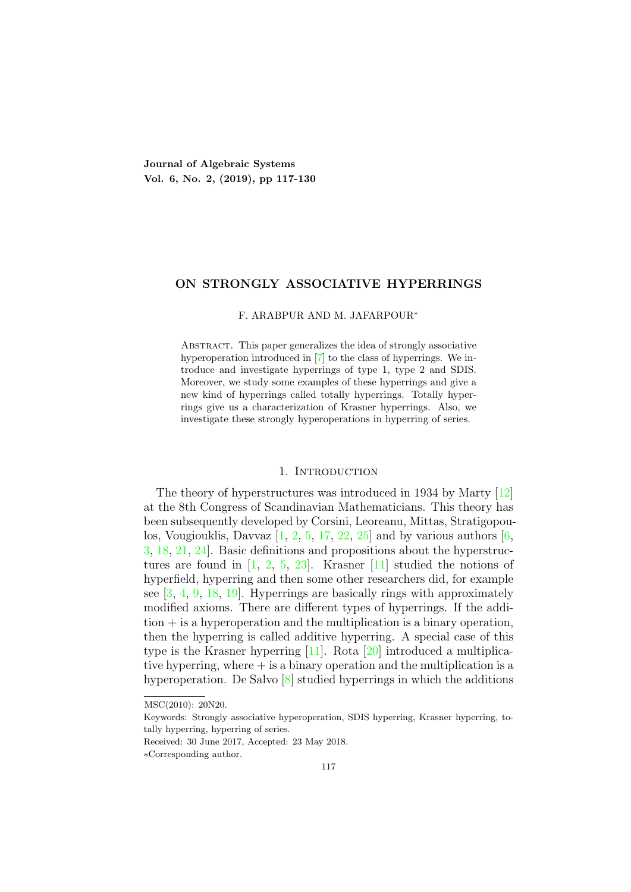Journal of Algebraic Systems Vol. 6, No. 2, (2019), pp 117-130

# ON STRONGLY ASSOCIATIVE HYPERRINGS

F. ARABPUR AND M. JAFARPOUR∗

Abstract. This paper generalizes the idea of strongly associative hyperoperation introduced in [7] to the class of hyperrings. We introduce and investigate hyperrings of type 1, type 2 and SDIS. Moreover, we study some examples of these hyperrings and give a new kind of hyperrings called totally hyperrings. Totally hyperrings give us a characterization of Krasner hyperrings. Also, we investigate these strongly hyperoperations in hyperring of series.

## 1. INTRODUCTION

The theory of hyperstructures was introduced in 1934 by Marty [12] at the 8th Congress of Scandinavian Mathematicians. This theory has been subsequently developed by Corsini, Leoreanu, Mittas, Stratigopoulos, Vougiouklis, Davvaz  $\left[1, 2, 5, 17, 22, 25\right]$  and by various authors  $\left[6, 6, 17, 22, 25\right]$ 3, 18, 21, 24]. Basic definitions and propositions about the hyperstructures are found in  $[1, 2, 5, 23]$ . Krasner  $[11]$  studied the notions of hyperfield, hyperring and then some other researchers did, for example see [3, 4, 9, 18, 19]. Hyperrings are basically rings with approximately modified axioms. There are different types of hyperrings. If the addi- $\tau$  tion  $+$  is a hyperoperation and the multiplication is a binary operation, then the hyperring is called additive hyperring. A special case of this type is the Krasner hyperring [11]. Rota [20] introduced a multiplicative hyperring, where  $+$  is a binary operation and the multiplication is a hyperoperation. De Salvo [8] studied hyperrings in which the additions

MSC(2010): 20N20.

Keywords: Strongly associative hyperoperation, SDIS hyperring, Krasner hyperring, totally hyperring, hyperring of series.

Received: 30 June 2017, Accepted: 23 May 2018.

<sup>∗</sup>Corresponding author.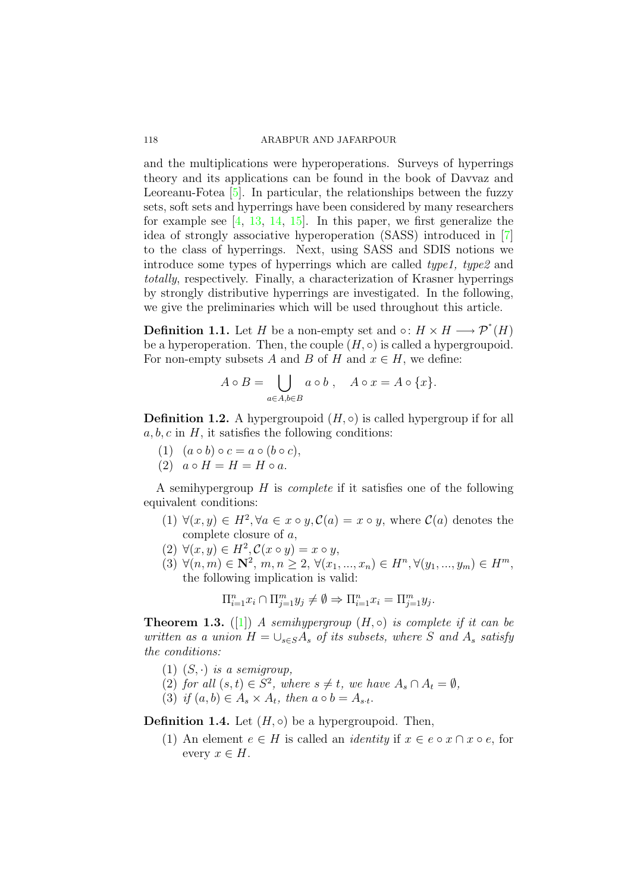and the multiplications were hyperoperations. Surveys of hyperrings theory and its applications can be found in the book of Davvaz and Leoreanu-Fotea [5]. In particular, the relationships between the fuzzy sets, soft sets and hyperrings have been considered by many researchers for example see  $[4, 13, 14, 15]$ . In this paper, we first generalize the idea of strongly associative hyperoperation (SASS) introduced in [7] to the class of hyperrings. Next, using SASS and SDIS notions we introduce some types of hyperrings which are called type1, type2 and totally, respectively. Finally, a characterization of Krasner hyperrings by strongly distributive hyperrings are investigated. In the following, we give the preliminaries which will be used throughout this article.

**Definition 1.1.** Let H be a non-empty set and  $\circ: H \times H \longrightarrow \mathcal{P}^*(H)$ be a hyperoperation. Then, the couple  $(H, \circ)$  is called a hypergroupoid. For non-empty subsets A and B of H and  $x \in H$ , we define:

$$
A \circ B = \bigcup_{a \in A, b \in B} a \circ b , \quad A \circ x = A \circ \{x\}.
$$

**Definition 1.2.** A hypergroupoid  $(H, \circ)$  is called hypergroup if for all  $a, b, c$  in  $H$ , it satisfies the following conditions:

- (1)  $(a \circ b) \circ c = a \circ (b \circ c),$
- (2)  $a \circ H = H = H \circ a$ .

A semihypergroup  $H$  is *complete* if it satisfies one of the following equivalent conditions:

- (1)  $\forall (x, y) \in H^2, \forall a \in x \circ y, \mathcal{C}(a) = x \circ y$ , where  $\mathcal{C}(a)$  denotes the complete closure of a,
- $(2) \ \forall (x, y) \in H^2, \mathcal{C}(x \circ y) = x \circ y,$
- (3)  $\forall (n,m) \in \mathbb{N}^2, m, n \geq 2, \forall (x_1, ..., x_n) \in H^n, \forall (y_1, ..., y_m) \in H^m,$ the following implication is valid:

$$
\Pi_{i=1}^n x_i \cap \Pi_{j=1}^m y_j \neq \emptyset \Rightarrow \Pi_{i=1}^n x_i = \Pi_{j=1}^m y_j.
$$

**Theorem 1.3.** ([1]) A semihypergroup  $(H, \circ)$  is complete if it can be written as a union  $H = \bigcup_{s \in S} A_s$  of its subsets, where S and  $A_s$  satisfy the conditions:

- (1)  $(S, \cdot)$  is a semigroup,
- (2) for all  $(s,t) \in S^2$ , where  $s \neq t$ , we have  $A_s \cap A_t = \emptyset$ ,
- (3) if  $(a, b) \in A_s \times A_t$ , then  $a \circ b = A_{s \cdot t}$ .

**Definition 1.4.** Let  $(H, \circ)$  be a hypergroupoid. Then,

(1) An element  $e \in H$  is called an *identity* if  $x \in e \circ x \cap x \circ e$ , for every  $x \in H$ .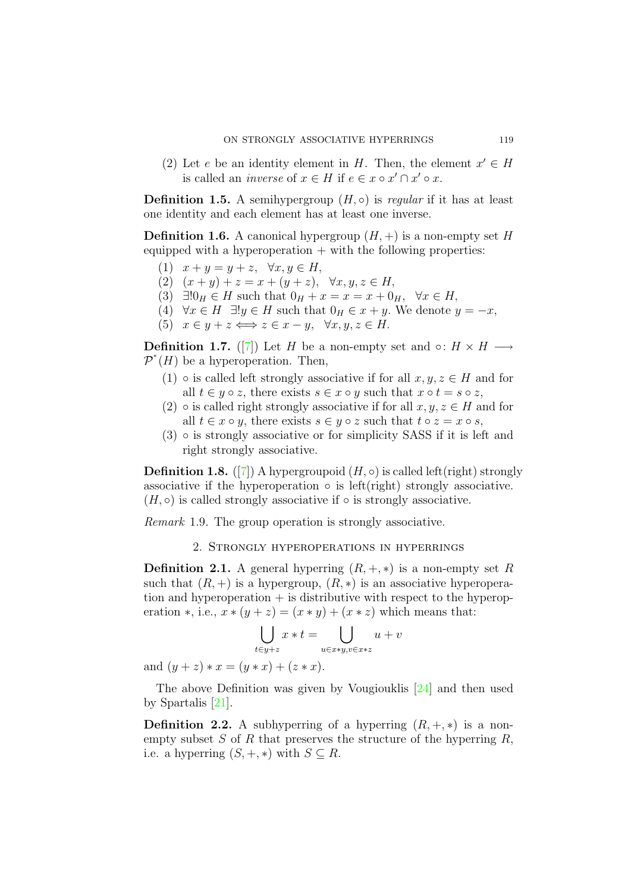(2) Let e be an identity element in H. Then, the element  $x' \in H$ is called an *inverse* of  $x \in H$  if  $e \in x \circ x' \cap x' \circ x$ .

**Definition 1.5.** A semihypergroup  $(H, \circ)$  is *regular* if it has at least one identity and each element has at least one inverse.

**Definition 1.6.** A canonical hypergroup  $(H, +)$  is a non-empty set H equipped with a hyperoperation  $+$  with the following properties:

- (1)  $x + y = y + z$ ,  $\forall x, y \in H$ ,
- (2)  $(x + y) + z = x + (y + z), \forall x, y, z \in H,$
- (3)  $\exists!0_H \in H$  such that  $0_H + x = x = x + 0_H$ ,  $\forall x \in H$ ,
- (4)  $\forall x \in H \exists ! y \in H$  such that  $0_H \in x + y$ . We denote  $y = -x$ ,
- (5)  $x \in y + z \Longleftrightarrow z \in x y, \forall x, y, z \in H$ .

**Definition 1.7.** ([7]) Let H be a non-empty set and ∘:  $H \times H$  →  $\mathcal{P}^*(H)$  be a hyperoperation. Then,

- (1)  $\circ$  is called left strongly associative if for all  $x, y, z \in H$  and for all  $t \in y \circ z$ , there exists  $s \in x \circ y$  such that  $x \circ t = s \circ z$ ,
- (2)  $\circ$  is called right strongly associative if for all  $x, y, z \in H$  and for all  $t \in x \circ y$ , there exists  $s \in y \circ z$  such that  $t \circ z = x \circ s$ ,
- $(3)$   $\circ$  is strongly associative or for simplicity SASS if it is left and right strongly associative.

**Definition 1.8.** ([7]) A hypergroupoid  $(H, \circ)$  is called left(right) strongly associative if the hyperoperation  $\circ$  is left(right) strongly associative.  $(H, \circ)$  is called strongly associative if  $\circ$  is strongly associative.

Remark 1.9. The group operation is strongly associative.

# 2. Strongly hyperoperations in hyperrings

**Definition 2.1.** A general hyperring  $(R, +, *)$  is a non-empty set R such that  $(R, +)$  is a hypergroup,  $(R, *)$  is an associative hyperoperation and hyperoperation  $+$  is distributive with respect to the hyperoperation  $\ast$ , i.e.,  $x \ast (y + z) = (x * y) + (x * z)$  which means that:

$$
\bigcup_{t \in y+z} x \ast t = \bigcup_{u \in x \ast y, v \in x \ast z} u + v
$$

and  $(y + z) * x = (y * x) + (z * x)$ .

The above Definition was given by Vougiouklis [24] and then used by Spartalis [21].

**Definition 2.2.** A subhyperring of a hyperring  $(R, +, *)$  is a nonempty subset  $S$  of  $R$  that preserves the structure of the hyperring  $R$ , i.e. a hyperring  $(S, +, *)$  with  $S \subseteq R$ .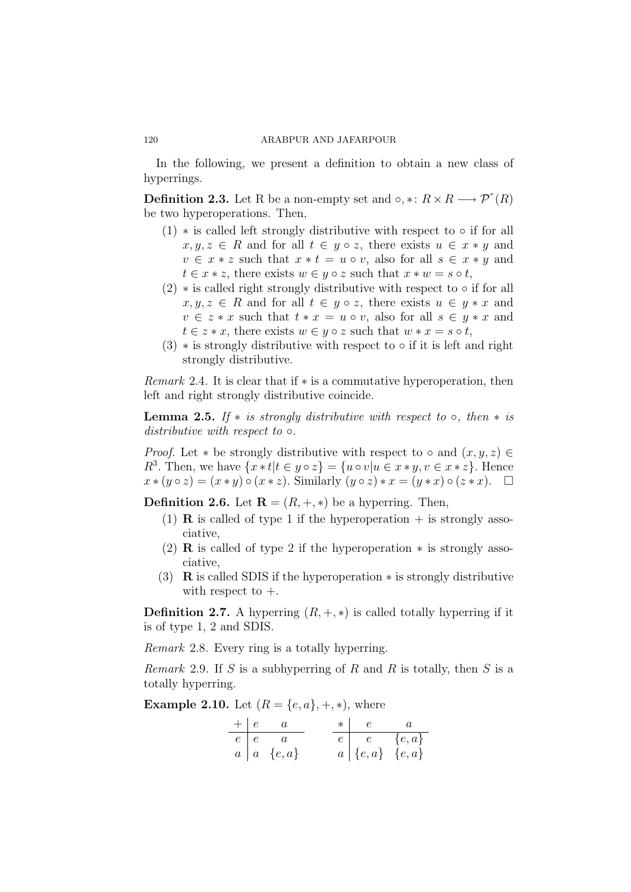In the following, we present a definition to obtain a new class of hyperrings.

**Definition 2.3.** Let R be a non-empty set and  $\circ$ ,  $* : R \times R \longrightarrow \mathcal{P}^*(R)$ be two hyperoperations. Then,

- $(1)$  \* is called left strongly distributive with respect to  $\circ$  if for all  $x, y, z \in R$  and for all  $t \in y \circ z$ , there exists  $u \in x * y$  and  $v \in x * z$  such that  $x * t = u \circ v$ , also for all  $s \in x * y$  and  $t \in x * z$ , there exists  $w \in y \circ z$  such that  $x * w = s \circ t$ ,
- $(2)$   $\ast$  is called right strongly distributive with respect to  $\circ$  if for all  $x, y, z \in R$  and for all  $t \in y \circ z$ , there exists  $u \in y * x$  and  $v \in z * x$  such that  $t * x = u \circ v$ , also for all  $s \in y * x$  and  $t \in z * x$ , there exists  $w \in y \circ z$  such that  $w * x = s \circ t$ ,
- $(3)$  \* is strongly distributive with respect to  $\circ$  if it is left and right strongly distributive.

*Remark* 2.4. It is clear that if  $*$  is a commutative hyperoperation, then left and right strongly distributive coincide.

**Lemma 2.5.** If  $*$  is strongly distributive with respect to  $\circ$ , then  $*$  is distributive with respect to  $\circ$ .

*Proof.* Let  $*$  be strongly distributive with respect to  $\circ$  and  $(x, y, z) \in$  $R^3$ . Then, we have  $\{x * t | t \in y \circ z\} = \{u \circ v | u \in x * y, v \in x * z\}$ . Hence  $x * (y \circ z) = (x * y) \circ (x * z)$ . Similarly  $(y \circ z) * x = (y * x) \circ (z * x)$ .  $\Box$ 

**Definition 2.6.** Let  $\mathbf{R} = (R, +, *)$  be a hyperring. Then,

- (1) **R** is called of type 1 if the hyperoperation  $+$  is strongly associative,
- (2) **R** is called of type 2 if the hyperoperation  $*$  is strongly associative,
- (3) R is called SDIS if the hyperoperation ∗ is strongly distributive with respect to  $+$ .

**Definition 2.7.** A hyperring  $(R, +, *)$  is called totally hyperring if it is of type 1, 2 and SDIS.

Remark 2.8. Every ring is a totally hyperring.

*Remark* 2.9. If S is a subhyperring of R and R is totally, then S is a totally hyperring.

**Example 2.10.** Let  $(R = \{e, a\}, +, *)$ , where

|  | $+  e - a $             |  | $\ast \begin{array}{ccc} & e & & a \end{array}$                           |
|--|-------------------------|--|---------------------------------------------------------------------------|
|  | $e \mid e \quad a$      |  | $e \begin{bmatrix} e \end{bmatrix}$ $e \begin{bmatrix} e,a \end{bmatrix}$ |
|  | $a \mid a \in \{e, a\}$ |  | $a   \{e,a\} \{e,a\}$                                                     |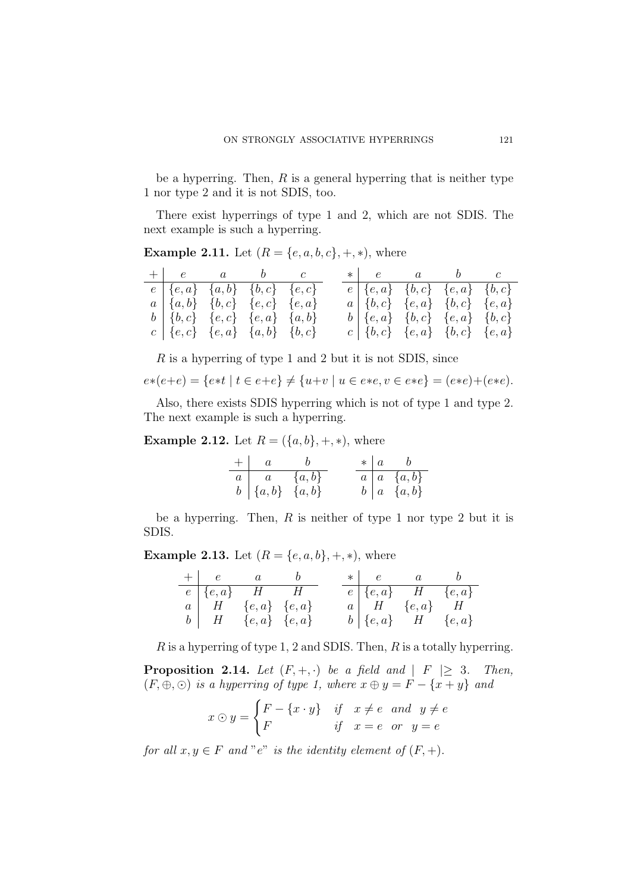be a hyperring. Then,  $R$  is a general hyperring that is neither type 1 nor type 2 and it is not SDIS, too.

There exist hyperrings of type 1 and 2, which are not SDIS. The next example is such a hyperring.

**Example 2.11.** Let  $(R = \{e, a, b, c\}, +, *)$ , where

| $+\begin{array}{ccc} e\ \end{array}$ a b c                              |  |  |  | $\ast \begin{array}{ccc} e & a & b & c \end{array}$ |  |
|-------------------------------------------------------------------------|--|--|--|-----------------------------------------------------|--|
| $e \,   \, \{e, a\} \,   \, \{a, b\} \,   \, \{b, c\} \,   \, \{e, c\}$ |  |  |  | $e   \{e, a\} \{b, c\} \{e, a\} \{b, c\}$           |  |
| $a   \{a,b\} \{b,c\} \{e,c\} \{e,a\}$                                   |  |  |  | $a   \{b, c\} \{e, a\} \{b, c\} \{e, a\}$           |  |
| $b   \{b, c\} \{e, c\} \{e, a\} \{a, b\}$                               |  |  |  | $b   \{e, a\} \{b, c\} \{e, a\} \{b, c\}$           |  |
| $c \mid \{e, c\} \mid \{e, a\} \mid \{a, b\} \mid \{b, c\}$             |  |  |  | $c   \{b,c\} \{e,a\} \{b,c\} \{e,a\}$               |  |

R is a hyperring of type 1 and 2 but it is not SDIS, since

$$
e*(e+e) = \{e*t \mid t \in e+e\} \neq \{u+v \mid u \in e*e, v \in e*e\} = (e*e) + (e*e).
$$

Also, there exists SDIS hyperring which is not of type 1 and type 2. The next example is such a hyperring.

**Example 2.12.** Let  $R = (\{a, b\}, +, *)$ , where

|                                                                            | $+ a $ b |  | $\star \begin{array}{ccc} a & b \end{array}$ |
|----------------------------------------------------------------------------|----------|--|----------------------------------------------|
| $\begin{array}{c cc} a & a & \{a,b\} \\ b & \{a,b\} & \{a,b\} \end{array}$ |          |  | $a \mid a \{a,b\}$                           |
|                                                                            |          |  | $b \mid a \{a,b\}$                           |

be a hyperring. Then,  $R$  is neither of type 1 nor type 2 but it is SDIS.

**Example 2.13.** Let  $(R = \{e, a, b\}, +, *)$ , where

|  | $+ \begin{array}{ccc} e & a & b \end{array}$ |  | $*   e a b$                    |  |
|--|----------------------------------------------|--|--------------------------------|--|
|  | $e \mid \{e, a\}$ $H$ $H$                    |  | $e   \{e,a\}$ $H \{e,a\}$      |  |
|  | $a \mid H \{e,a\} \{e,a\}$                   |  | $a \mid H \{e, a\} \mid H$     |  |
|  | $b \mid H \{e,a\} \{e,a\}$                   |  | $b \mid \{e, a\}$ $H \{e, a\}$ |  |

 $R$  is a hyperring of type 1, 2 and SDIS. Then,  $R$  is a totally hyperring.

**Proposition 2.14.** Let  $(F, +, \cdot)$  be a field and  $|F| \geq 3$ . Then,  $(F, \oplus, \odot)$  is a hyperring of type 1, where  $x \oplus y = F - \{x + y\}$  and

$$
x \odot y = \begin{cases} F - \{x \cdot y\} & \text{if } x \neq e \text{ and } y \neq e \\ F & \text{if } x = e \text{ or } y = e \end{cases}
$$

for all  $x, y \in F$  and "e" is the identity element of  $(F, +)$ .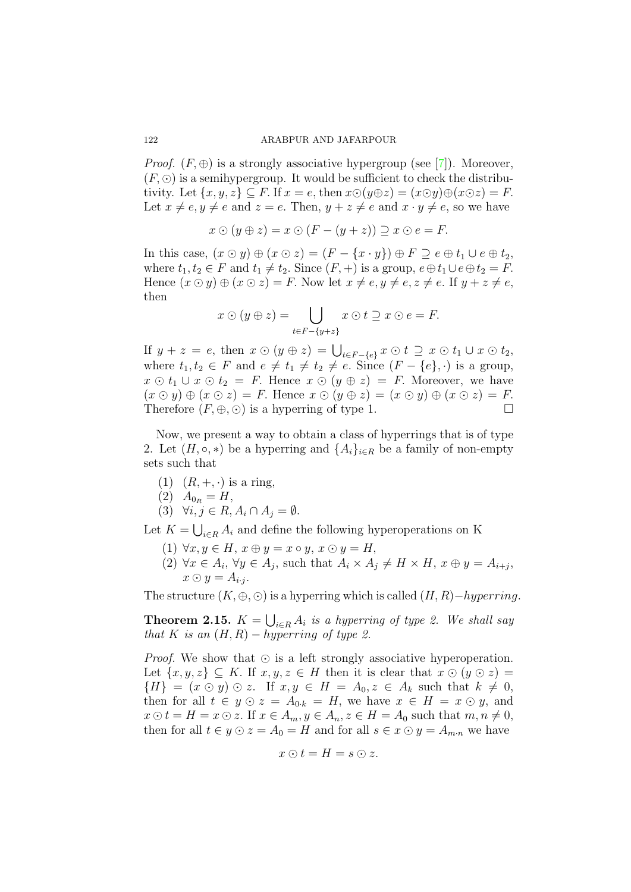*Proof.*  $(F, \oplus)$  is a strongly associative hypergroup (see [7]). Moreover,  $(F, \odot)$  is a semihypergroup. It would be sufficient to check the distributivity. Let  $\{x, y, z\} \subseteq F$ . If  $x = e$ , then  $x \odot (y \oplus z) = (x \odot y) \oplus (x \odot z) = F$ . Let  $x \neq e, y \neq e$  and  $z = e$ . Then,  $y + z \neq e$  and  $x \cdot y \neq e$ , so we have

$$
x \odot (y \oplus z) = x \odot (F - (y + z)) \supseteq x \odot e = F.
$$

In this case,  $(x \odot y) \oplus (x \odot z) = (F - \{x \cdot y\}) \oplus F \supseteq e \oplus t_1 \cup e \oplus t_2$ , where  $t_1, t_2 \in F$  and  $t_1 \neq t_2$ . Since  $(F, +)$  is a group,  $e \oplus t_1 \cup e \oplus t_2 = F$ . Hence  $(x \odot y) \oplus (x \odot z) = F$ . Now let  $x \neq e, y \neq e, z \neq e$ . If  $y + z \neq e$ , then

$$
x \odot (y \oplus z) = \bigcup_{t \in F - \{y + z\}} x \odot t \supseteq x \odot e = F.
$$

If  $y + z = e$ , then  $x \odot (y \oplus z) = \bigcup_{t \in F - \{e\}} x \odot t \supseteq x \odot t_1 \cup x \odot t_2$ , where  $t_1, t_2 \in F$  and  $e \neq t_1 \neq t_2 \neq e$ . Since  $(F - \{e\}, \cdot)$  is a group,  $x \odot t_1 \cup x \odot t_2 = F$ . Hence  $x \odot (y \oplus z) = F$ . Moreover, we have  $(x \odot y) \oplus (x \odot z) = F$ . Hence  $x \odot (y \oplus z) = (x \odot y) \oplus (x \odot z) = F$ .<br>Therefore  $(F, \oplus, \odot)$  is a hyperring of type 1. Therefore  $(F, \oplus, \odot)$  is a hyperring of type 1.

Now, we present a way to obtain a class of hyperrings that is of type 2. Let  $(H, \circ, *)$  be a hyperring and  $\{A_i\}_{i \in R}$  be a family of non-empty sets such that

- (1)  $(R, +, \cdot)$  is a ring,
- $(2)$   $A_{0_R} = H$ ,

$$
(3) \quad \forall i, j \in R, A_i \cap A_j = \emptyset.
$$

Let  $K = \bigcup_{i \in R} A_i$  and define the following hyperoperations on K

- (1)  $\forall x, y \in H$ ,  $x \oplus y = x \circ y$ ,  $x \odot y = H$ ,
- (2)  $\forall x \in A_i$ ,  $\forall y \in A_j$ , such that  $A_i \times A_j \neq H \times H$ ,  $x \oplus y = A_{i+j}$ ,  $x \odot y = A_{i \cdot j}.$

The structure  $(K, \oplus, \odot)$  is a hyperring which is called  $(H, R)$ −hyperring.

**Theorem 2.15.**  $K = \bigcup_{i \in R} A_i$  is a hyperring of type 2. We shall say that K is an  $(H, R) - hyperring$  of type 2.

*Proof.* We show that  $\odot$  is a left strongly associative hyperoperation. Let  $\{x, y, z\} \subseteq K$ . If  $x, y, z \in H$  then it is clear that  $x \odot (y \odot z) =$  $\{H\} = (x \odot y) \odot z$ . If  $x, y \in H = A_0, z \in A_k$  such that  $k \neq 0$ , then for all  $t \in y \odot z = A_{0,k} = H$ , we have  $x \in H = x \odot y$ , and  $x \odot t = H = x \odot z$ . If  $x \in A_m, y \in A_n, z \in H = A_0$  such that  $m, n \neq 0$ , then for all  $t \in y \odot z = A_0 = H$  and for all  $s \in x \odot y = A_{m,n}$  we have

$$
x \odot t = H = s \odot z.
$$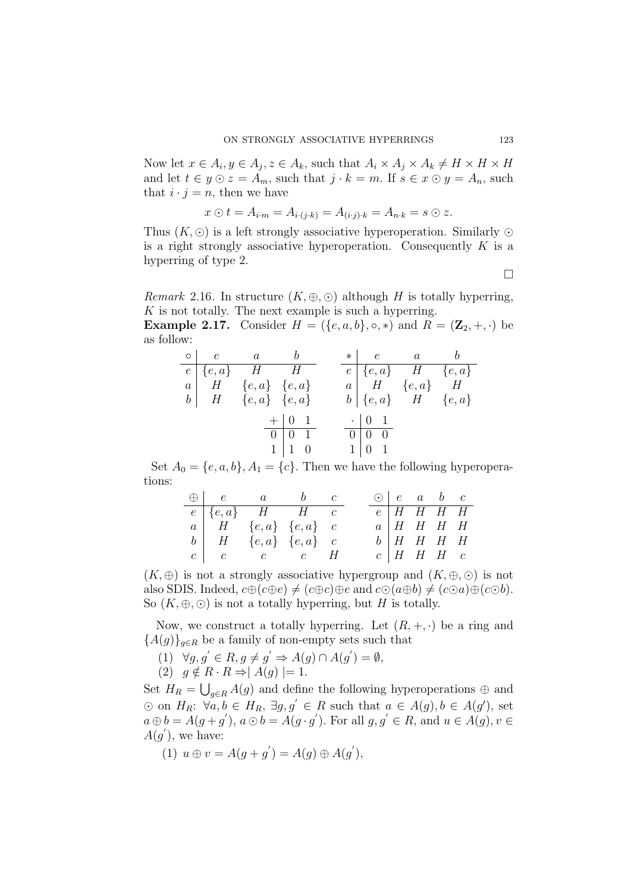Now let  $x \in A_i, y \in A_j, z \in A_k$ , such that  $A_i \times A_j \times A_k \neq H \times H \times H$ and let  $t \in y \odot z = A_m$ , such that  $j \cdot k = m$ . If  $s \in x \odot y = A_n$ , such that  $i \cdot j = n$ , then we have

$$
x \odot t = A_{i \cdot m} = A_{i \cdot (j \cdot k)} = A_{(i \cdot j) \cdot k} = A_{n \cdot k} = s \odot z.
$$

Thus  $(K, \odot)$  is a left strongly associative hyperoperation. Similarly  $\odot$ is a right strongly associative hyperoperation. Consequently  $K$  is a hyperring of type 2.

 $\Box$ 

*Remark* 2.16. In structure  $(K, \oplus, \odot)$  although H is totally hyperring,  $K$  is not totally. The next example is such a hyperring.

**Example 2.17.** Consider  $H = (\{e, a, b\}, \circ, *)$  and  $R = (\mathbf{Z}_2, +, \cdot)$  be as follow:

|  | $\circ \begin{array}{ccc} e & a & b \end{array}$ |                                                                              |  |                                                           | $\ast \begin{array}{ccc} e & a & b \end{array}$ |  |
|--|--------------------------------------------------|------------------------------------------------------------------------------|--|-----------------------------------------------------------|-------------------------------------------------|--|
|  | $\overline{e \mid \{e, a\}}$ <i>H H</i>          |                                                                              |  |                                                           | $e   \{e,a\}$ $H \{e,a\}$                       |  |
|  | $a \mid H \{e, a\} \{e, a\}$                     |                                                                              |  |                                                           | $a \mid H \{e,a\} \mid H$                       |  |
|  | $b \mid H \{e,a\} \{e,a\}$                       |                                                                              |  |                                                           | $b \mid \{e, a\}$ $H \{e, a\}$                  |  |
|  |                                                  | $+$ 0 1<br>$\overline{0}$ $\overline{0}$ $\overline{1}$<br>$1 \mid 1 \mid 0$ |  | $\cdot$   0   1<br>$0 \mid 0 \mid 0$<br>$1 \mid 0 \mid 1$ |                                                 |  |

Set  $A_0 = \{e, a, b\}, A_1 = \{c\}.$  Then we have the following hyperoperations:

|  | $\bigoplus$ e a b c                              |  |  | $\odot$   e a b c |  |
|--|--------------------------------------------------|--|--|-------------------|--|
|  | $e \mid \{e, a\}$ H H $c$                        |  |  | $e$   H H H H     |  |
|  | $a \mid H \{e,a\} \{e,a\}$ $c$                   |  |  | $a$   H H H H     |  |
|  | $b \mid H \{e,a\} \{e,a\}$ $c$                   |  |  | $b$   H H H H     |  |
|  | $c \begin{array}{ccc} c & c & c & H \end{array}$ |  |  | $c$   H H H $c$   |  |

 $(K, \oplus)$  is not a strongly associative hypergroup and  $(K, \oplus, \odot)$  is not also SDIS. Indeed,  $c \oplus (c \oplus e) \neq (c \oplus c) \oplus e$  and  $c \odot (a \oplus b) \neq (c \odot a) \oplus (c \odot b)$ . So  $(K, \oplus, \odot)$  is not a totally hyperring, but H is totally.

Now, we construct a totally hyperring. Let  $(R, +, \cdot)$  be a ring and  ${A(g)}_{g\in R}$  be a family of non-empty sets such that

- $(1) \quad \forall g, g' \in R, g \neq g' \Rightarrow A(g) \cap A(g') = \emptyset,$
- (2)  $g \notin R \cdot R \Rightarrow |A(g)| = 1.$

Set  $H_R = \bigcup_{g \in R} A(g)$  and define the following hyperoperations  $\oplus$  and ⊙ on  $H_R$ :  $\forall a, b \in H_R$ ,  $\exists g, g' \in R$  such that  $a \in A(g)$ ,  $b \in A(g')$ , set  $a \oplus b = A(g + g'), a \odot b = A(g \cdot g').$  For all  $g, g' \in R$ , and  $u \in A(g), v \in$  $A(g')$ , we have:

(1)  $u \oplus v = A(g + g') = A(g) \oplus A(g'),$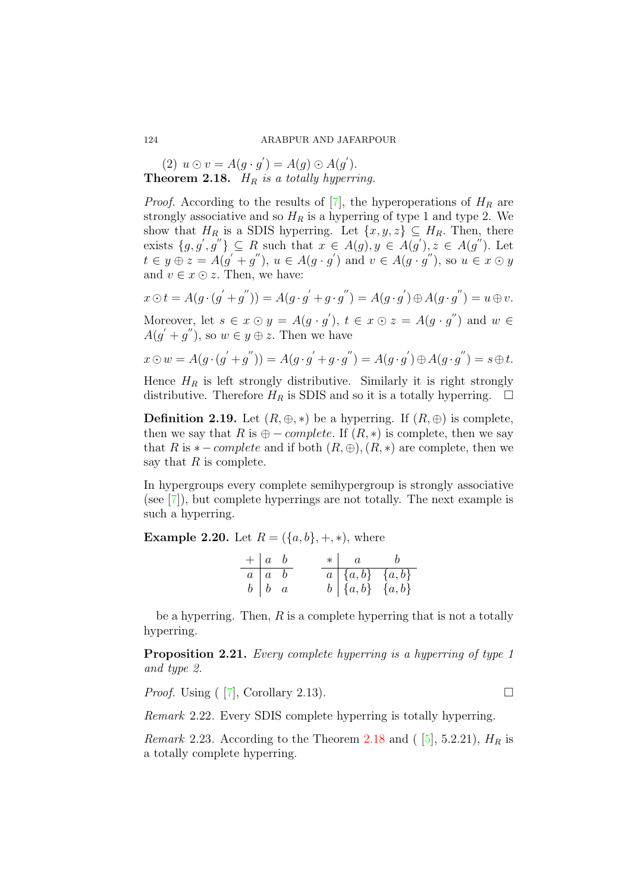(2)  $u \odot v = A(g \cdot g') = A(g) \odot A(g').$ **Theorem 2.18.**  $H_R$  is a totally hyperring.

*Proof.* According to the results of  $\overline{7}$ , the hyperoperations of  $H_R$  are strongly associative and so  $H_R$  is a hyperring of type 1 and type 2. We show that  $H_R$  is a SDIS hyperring. Let  $\{x, y, z\} \subseteq H_R$ . Then, there exists  $\{g, g', g''\}\subseteq R$  such that  $x \in A(g), y \in A(g'), z \in A(g'')$ . Let  $t \in y \oplus z = A(g' + g'')$ ,  $u \in A(g \cdot g')$  and  $v \in A(g \cdot g'')$ , so  $u \in x \odot y$ and  $v \in \mathcal{X} \odot \mathcal{Z}$ . Then, we have:

$$
x \odot t = A(g \cdot (g' + g'')) = A(g \cdot g' + g \cdot g'') = A(g \cdot g') \oplus A(g \cdot g'') = u \oplus v.
$$

Moreover, let  $s \in x \odot y = A(g \cdot g')$ ,  $t \in x \odot z = A(g \cdot g'')$  and  $w \in$  $A(g' + g'')$ , so  $w \in y \oplus z$ . Then we have

$$
x \odot w = A(g \cdot (g' + g'')) = A(g \cdot g' + g \cdot g'') = A(g \cdot g') \oplus A(g \cdot g'') = s \oplus t.
$$

Hence  $H_R$  is left strongly distributive. Similarly it is right strongly distributive. Therefore  $H_R$  is SDIS and so it is a totally hyperring.

**Definition 2.19.** Let  $(R, \oplus, *)$  be a hyperring. If  $(R, \oplus)$  is complete, then we say that R is  $\oplus$  – *complete*. If  $(R, *)$  is complete, then we say that R is  $*$  – *complete* and if both  $(R, \oplus), (R, *)$  are complete, then we say that  $R$  is complete.

In hypergroups every complete semihypergroup is strongly associative (see [7]), but complete hyperrings are not totally. The next example is such a hyperring.

**Example 2.20.** Let  $R = (\{a, b\}, +, *)$ , where

| $+ a b$                                                            |  |  | $\ast \begin{array}{ccc} a & b \end{array}$                                      |  |
|--------------------------------------------------------------------|--|--|----------------------------------------------------------------------------------|--|
| $\begin{array}{c cc}\n\hline\na & a & b \\ b & b & a\n\end{array}$ |  |  | $\begin{array}{c cc} a & \{a,b\} & \{a,b\} \\ b & \{a,b\} & \{a,b\} \end{array}$ |  |
|                                                                    |  |  |                                                                                  |  |

be a hyperring. Then,  $R$  is a complete hyperring that is not a totally hyperring.

Proposition 2.21. Every complete hyperring is a hyperring of type 1 and type 2.

*Proof.* Using  $(|7|,$  Corollary 2.13).

Remark 2.22. Every SDIS complete hyperring is totally hyperring.

*Remark* 2.23. According to the Theorem 2.18 and ( [5], 5.2.21),  $H_R$  is a totally complete hyperring.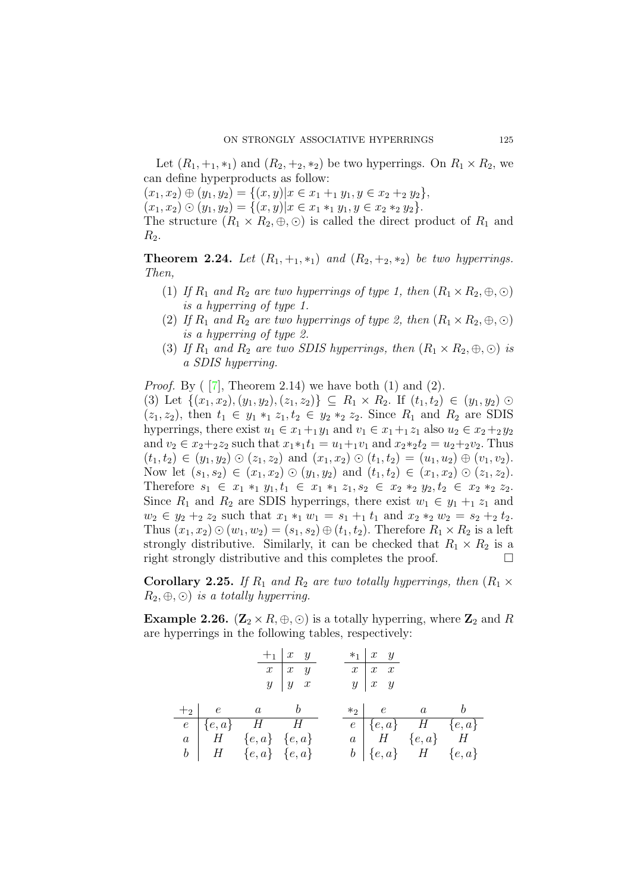Let  $(R_1, +_1, *_1)$  and  $(R_2, +_2, *_2)$  be two hyperrings. On  $R_1 \times R_2$ , we can define hyperproducts as follow:

 $(x_1, x_2) \oplus (y_1, y_2) = \{(x, y) | x \in x_1 + y_1, y \in x_2 + y_2\},\$ 

 $(x_1, x_2) \odot (y_1, y_2) = \{(x, y) | x \in x_1 *_{1} y_1, y \in x_2 *_{2} y_2\}.$ 

The structure  $(R_1 \times R_2, \oplus, \odot)$  is called the direct product of  $R_1$  and  $R_2$ .

**Theorem 2.24.** Let  $(R_1, +_1, *_1)$  and  $(R_2, +_2, *_2)$  be two hyperrings. Then,

- (1) If  $R_1$  and  $R_2$  are two hyperrings of type 1, then  $(R_1 \times R_2, \oplus, \odot)$ is a hyperring of type 1.
- (2) If  $R_1$  and  $R_2$  are two hyperrings of type 2, then  $(R_1 \times R_2, \oplus, \odot)$ is a hyperring of type 2.
- (3) If  $R_1$  and  $R_2$  are two SDIS hyperrings, then  $(R_1 \times R_2, \oplus, \odot)$  is a SDIS hyperring.

*Proof.* By  $([7],$  Theorem 2.14) we have both  $(1)$  and  $(2)$ .

(3) Let  $\{(x_1, x_2), (y_1, y_2), (z_1, z_2)\}\subseteq R_1 \times R_2$ . If  $(t_1, t_2) \in (y_1, y_2)$   $\odot$  $(z_1, z_2)$ , then  $t_1 \in y_1 *_{1} z_1, t_2 \in y_2 *_{2} z_2$ . Since  $R_1$  and  $R_2$  are SDIS hyperrings, there exist  $u_1 \in x_1 +_1 y_1$  and  $v_1 \in x_1 +_1 z_1$  also  $u_2 \in x_2 +_2 y_2$ and  $v_2 \in x_2 +_2 z_2$  such that  $x_1 *_1 t_1 = u_1 +_1 v_1$  and  $x_2 *_2 t_2 = u_2 +_2 v_2$ . Thus  $(t_1, t_2) \in (y_1, y_2) \odot (z_1, z_2)$  and  $(x_1, x_2) \odot (t_1, t_2) = (u_1, u_2) \oplus (v_1, v_2)$ . Now let  $(s_1, s_2) \in (x_1, x_2) \odot (y_1, y_2)$  and  $(t_1, t_2) \in (x_1, x_2) \odot (z_1, z_2)$ . Therefore  $s_1 \in x_1 *_{1} y_1, t_1 \in x_1 *_{1} z_1, s_2 \in x_2 *_{2} y_2, t_2 \in x_2 *_{2} z_2$ . Since  $R_1$  and  $R_2$  are SDIS hyperrings, there exist  $w_1 \in y_1 + z_1$  and  $w_2 \in y_2 +_2 z_2$  such that  $x_1 *_1 w_1 = s_1 +_1 t_1$  and  $x_2 *_2 w_2 = s_2 +_2 t_2$ . Thus  $(x_1, x_2) \odot (w_1, w_2) = (s_1, s_2) \oplus (t_1, t_2)$ . Therefore  $R_1 \times R_2$  is a left strongly distributive. Similarly, it can be checked that  $R_1 \times R_2$  is a right strongly distributive and this completes the proof.

**Corollary 2.25.** If  $R_1$  and  $R_2$  are two totally hyperrings, then  $(R_1 \times R_2)$  $R_2, \oplus, \odot$  is a totally hyperring.

**Example 2.26.** ( $\mathbb{Z}_2 \times R$ ,  $\oplus$ ,  $\odot$ ) is a totally hyperring, where  $\mathbb{Z}_2$  and R are hyperrings in the following tables, respectively:

|  |                              | $+$ <sub>1</sub> $x$ $y$ |  | $*_{1}$ $x$ $y$     |                                |  |
|--|------------------------------|--------------------------|--|---------------------|--------------------------------|--|
|  |                              | $x \mid x \mid y$        |  | $\boxed{x}$ $x$ $x$ |                                |  |
|  |                              | $y \mid y \mid x$        |  | $y \mid x \mid y$   |                                |  |
|  |                              |                          |  |                     |                                |  |
|  | $+2$ e a b                   |                          |  |                     | $*_{2}$ e a b                  |  |
|  | $e \mid \{e, a\}$ H H        |                          |  |                     | $e \mid \{e,a\}$ $H \{e,a\}$   |  |
|  | $a \mid H \{e, a\} \{e, a\}$ |                          |  |                     | $a \mid H \{e,a\} \mid H$      |  |
|  | $b \mid H \{e,a\} \{e,a\}$   |                          |  |                     | $b \mid \{e, a\}$ $H \{e, a\}$ |  |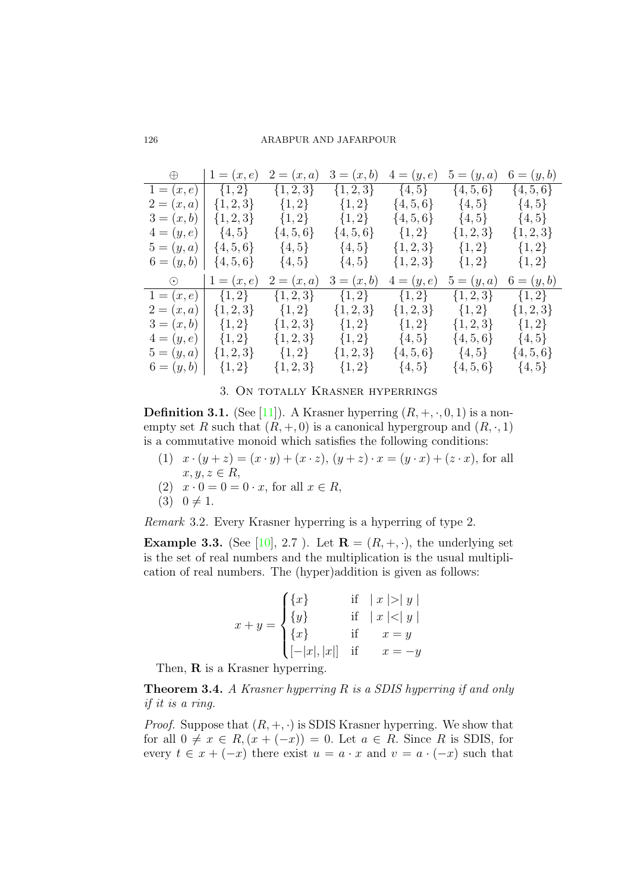| $\bigoplus$                   | $1 = (x, e)$        | $2=(x,a)$                                        | $3=(x,b)$     | $4=(y,e)$     | $5=(y,a)$             | $6 = (y, b)$  |
|-------------------------------|---------------------|--------------------------------------------------|---------------|---------------|-----------------------|---------------|
| $1=(x,e)$                     | $\{1,2\}$           | $\{1,2,3\}$                                      | $\{1,2,3\}$   | $\{4, 5\}$    | $\{4, 5, 6\}$         | $\{4, 5, 6\}$ |
| $2=(x,a)$                     | $\{1,2,3\}$         | $\{1,2\}$                                        | $\{1,2\}$     | $\{4, 5, 6\}$ | $\{4, 5\}$            | $\{4, 5\}$    |
|                               |                     | $3 = (x, b)   \{1, 2, 3\}$ $\{1, 2\}$ $\{1, 2\}$ |               | $\{4, 5, 6\}$ | $\{4,5\}$ $\{4,5\}$   |               |
|                               | $4=(y,e)$ $\{4,5\}$ | $\{4, 5, 6\}$                                    | $\{4, 5, 6\}$ | $\{1,2\}$     | $\{1,2,3\}$           | $\{1,2,3\}$   |
| $5 = (y, a) \mid \{4, 5, 6\}$ |                     | $\{4, 5\}$                                       | $\{4, 5\}$    |               | $\{1,2,3\}$ $\{1,2\}$ | $\{1,2\}$     |
| $6 = (y, b)   {4, 5, 6}$      |                     | $\{4, 5\}$                                       | $\{4, 5\}$    | $\{1,2,3\}$   | $\{1,2\}$             | $\{1,2\}$     |
|                               |                     |                                                  |               |               |                       |               |
| $\odot$                       | $1 = (x, e)$        | $2=(x,a)$                                        | $3=(x,b)$     | $4 = (y, e)$  | $5=(y,a)$             | $6 = (y, b)$  |
| $1 = (x, e)$                  | $\{1,2\}$           | $\{1,2,3\}$                                      | $\{1,2\}$     | $\{1,2\}$     | $\{1,2,3\}$           | $\{1,2\}$     |
| $2=(x,a)$                     | $\{1,2,3\}$         | $\{1,2\}$                                        | $\{1, 2, 3\}$ | $\{1,2,3\}$   | $\{1,2\}$             | $\{1, 2, 3\}$ |
| $3 = (x, b)$ $\{1, 2\}$       |                     | $\{1,2,3\}$                                      | $\{1,2\}$     | $\{1,2\}$     | $\{1,2,3\}$           | $\{1,2\}$     |
|                               | $4=(y,e)$ {1,2}     | $\{1,2,3\}$                                      | $\{1,2\}$     | $\{4, 5\}$    | $\{4, 5, 6\}$         | $\{4, 5\}$    |
| $5=(y,a)$                     | $\{1,2,3\}$         | $\{1,2\}$                                        | $\{1, 2, 3\}$ | $\{4, 5, 6\}$ | $\{4,5\}$             | $\{4, 5, 6\}$ |

# 3. On totally Krasner hyperrings

**Definition 3.1.** (See [11]). A Krasner hyperring  $(R, +, \cdot, 0, 1)$  is a nonempty set R such that  $(R, +, 0)$  is a canonical hypergroup and  $(R, \cdot, 1)$ is a commutative monoid which satisfies the following conditions:

- (1)  $x \cdot (y + z) = (x \cdot y) + (x \cdot z), (y + z) \cdot x = (y \cdot x) + (z \cdot x)$ , for all  $x, y, z \in R$
- (2)  $x \cdot 0 = 0 = 0 \cdot x$ , for all  $x \in R$ ,
- (3)  $0 \neq 1$ .

Remark 3.2. Every Krasner hyperring is a hyperring of type 2.

**Example 3.3.** (See [10], 2.7 ). Let  $\mathbf{R} = (R, +, \cdot)$ , the underlying set is the set of real numbers and the multiplication is the usual multiplication of real numbers. The (hyper)addition is given as follows:

$$
x + y = \begin{cases} \{x\} & \text{if } |x| > |y| \\ \{y\} & \text{if } |x| < |y| \\ \{x\} & \text{if } x = y \\ [-|x|, |x|] & \text{if } x = -y \end{cases}
$$

Then, **R** is a Krasner hyperring.

Theorem 3.4. A Krasner hyperring R is a SDIS hyperring if and only if it is a ring.

*Proof.* Suppose that  $(R, +, \cdot)$  is SDIS Krasner hyperring. We show that for all  $0 \neq x \in R$ ,  $(x + (-x)) = 0$ . Let  $a \in R$ . Since R is SDIS, for every  $t \in x + (-x)$  there exist  $u = a \cdot x$  and  $v = a \cdot (-x)$  such that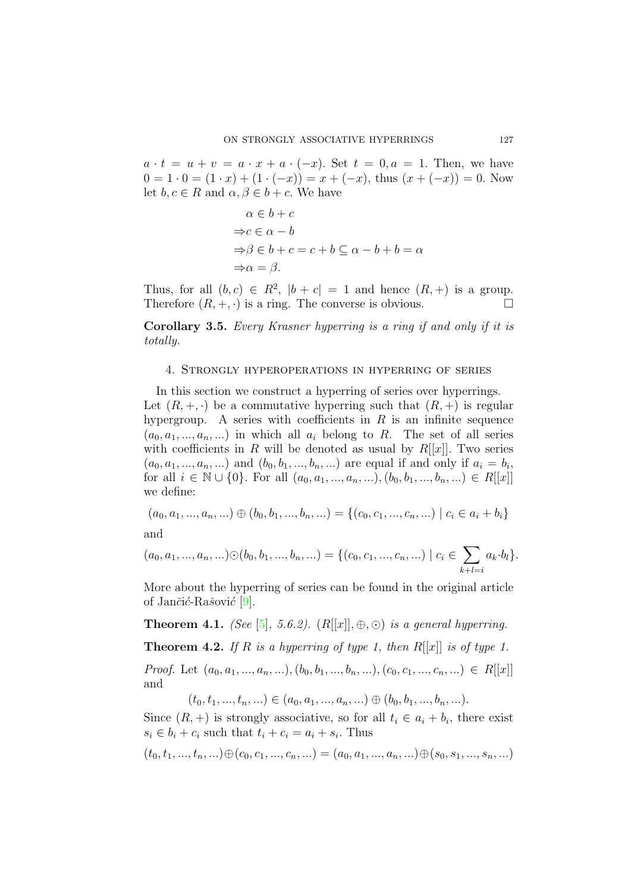$a \cdot t = u + v = a \cdot x + a \cdot (-x)$ . Set  $t = 0, a = 1$ . Then, we have  $0 = 1 \cdot 0 = (1 \cdot x) + (1 \cdot (-x)) = x + (-x)$ , thus  $(x + (-x)) = 0$ . Now let  $b, c \in R$  and  $\alpha, \beta \in b + c$ . We have

$$
\alpha \in b + c
$$
  
\n
$$
\Rightarrow c \in \alpha - b
$$
  
\n
$$
\Rightarrow \beta \in b + c = c + b \subseteq \alpha - b + b = \alpha
$$
  
\n
$$
\Rightarrow \alpha = \beta.
$$

Thus, for all  $(b, c) \in R^2$ ,  $|b + c| = 1$  and hence  $(R, +)$  is a group. Therefore  $(R, +, \cdot)$  is a ring. The converse is obvious.

Corollary 3.5. Every Krasner hyperring is a ring if and only if it is totally.

## 4. Strongly hyperoperations in hyperring of series

In this section we construct a hyperring of series over hyperrings. Let  $(R, +, \cdot)$  be a commutative hyperring such that  $(R, +)$  is regular hypergroup. A series with coefficients in  $R$  is an infinite sequence  $(a_0, a_1, \ldots, a_n, \ldots)$  in which all  $a_i$  belong to R. The set of all series with coefficients in R will be denoted as usual by  $R[[x]]$ . Two series  $(a_0, a_1, ..., a_n, ...)$  and  $(b_0, b_1, ..., b_n, ...)$  are equal if and only if  $a_i = b_i$ , for all  $i \in \mathbb{N} \cup \{0\}$ . For all  $(a_0, a_1, ..., a_n, ...)$ ,  $(b_0, b_1, ..., b_n, ...) \in R[[x]]$ we define:

$$
(a_0, a_1, ..., a_n, ...) \oplus (b_0, b_1, ..., b_n, ...) = \{(c_0, c_1, ..., c_n, ...) \mid c_i \in a_i + b_i\}
$$

and

$$
(a_0, a_1, ..., a_n, ...) \odot (b_0, b_1, ..., b_n, ...) = \{ (c_0, c_1, ..., c_n, ...) \mid c_i \in \sum_{k+l=i} a_k \cdot b_l \}.
$$

More about the hyperring of series can be found in the original article of Jančić-Rašović  $[9]$ .

**Theorem 4.1.** (See [5], 5.6.2).  $(R[[x]], \oplus, \odot)$  is a general hyperring.

**Theorem 4.2.** If R is a hyperring of type 1, then  $R[[x]]$  is of type 1.

*Proof.* Let  $(a_0, a_1, ..., a_n, ...)$ ,  $(b_0, b_1, ..., b_n, ...)$ ,  $(c_0, c_1, ..., c_n, ...) \in R[[x]]$ and

 $(t_0, t_1, ..., t_n, ...) \in (a_0, a_1, ..., a_n, ...) \oplus (b_0, b_1, ..., b_n, ...).$ 

Since  $(R, +)$  is strongly associative, so for all  $t_i \in a_i + b_i$ , there exist  $s_i \in b_i + c_i$  such that  $t_i + c_i = a_i + s_i$ . Thus

 $(t_0, t_1, ..., t_n, ...) \oplus (c_0, c_1, ..., c_n, ...) = (a_0, a_1, ..., a_n, ...) \oplus (s_0, s_1, ..., s_n, ...)$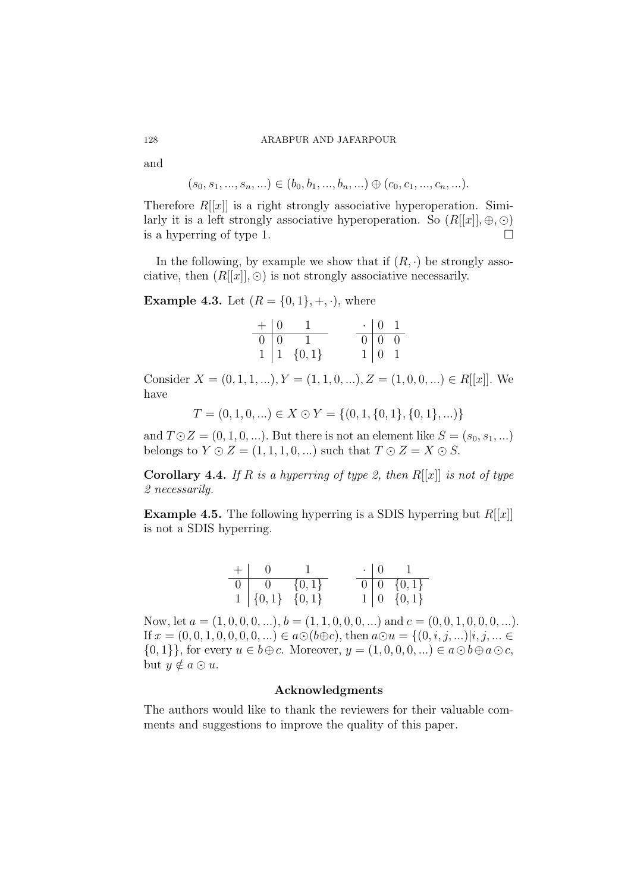and

$$
(s_0, s_1, ..., s_n, ...) \in (b_0, b_1, ..., b_n, ...) \oplus (c_0, c_1, ..., c_n, ...).
$$

Therefore  $R[[x]]$  is a right strongly associative hyperoperation. Similarly it is a left strongly associative hyperoperation. So  $(R[[x]], \oplus, \odot)$  is a hyperring of type 1. is a hyperring of type 1.

In the following, by example we show that if  $(R, \cdot)$  be strongly associative, then  $(R[[x]], \odot)$  is not strongly associative necessarily.

**Example 4.3.** Let  $(R = \{0, 1\}, +, \cdot)$ , where

|  | $+   0 1$                                                          | $\cdot$   0   1                                          |  |
|--|--------------------------------------------------------------------|----------------------------------------------------------|--|
|  |                                                                    |                                                          |  |
|  | $\begin{tabular}{c cc} 0 & 0 & 1 \\ 1 & 1 & \{0,1\} \end{tabular}$ | $\begin{array}{c cc} 0 & 0 & 0 \\ 1 & 0 & 1 \end{array}$ |  |

Consider  $X = (0, 1, 1, \ldots), Y = (1, 1, 0, \ldots), Z = (1, 0, 0, \ldots) \in R[[x]]$ . We have

$$
T = (0, 1, 0, \ldots) \in X \odot Y = \{(0, 1, \{0, 1\}, \{0, 1\}, \ldots)\}
$$

and  $T \odot Z = (0, 1, 0, \ldots)$ . But there is not an element like  $S = (s_0, s_1, \ldots)$ belongs to  $Y \odot Z = (1, 1, 1, 0, ...)$  such that  $T \odot Z = X \odot S$ .

**Corollary 4.4.** If R is a hyperring of type 2, then  $R[[x]]$  is not of type 2 necessarily.

**Example 4.5.** The following hyperring is a SDIS hyperring but  $R[[x]]$ is not a SDIS hyperring.

| $+$   0 1                                                                  |  |  | $\cdot$   0   1                                                          |
|----------------------------------------------------------------------------|--|--|--------------------------------------------------------------------------|
|                                                                            |  |  | $\begin{tabular}{c cc} 0 & 0 & \{0,1\} \\ 1 & 0 & \{0,1\} \end{tabular}$ |
| $\begin{array}{c cc} 0 & 0 & \{0,1\} \\ 1 & \{0,1\} & \{0,1\} \end{array}$ |  |  |                                                                          |

Now, let  $a = (1, 0, 0, 0, \ldots), b = (1, 1, 0, 0, 0, \ldots)$  and  $c = (0, 0, 1, 0, 0, 0, \ldots)$ . If  $x = (0, 0, 1, 0, 0, 0, 0, ...) \in a \odot (b \oplus c)$ , then  $a \odot u = \{(0, i, j, ...) | i, j, ... \in$  $\{0,1\}\}\text{, for every }u\in b\oplus c. \text{ Moreover, }y=(1,0,0,0,...)\in a\odot b\oplus a\odot c,$ but  $y \notin a \odot u$ .

# Acknowledgments

The authors would like to thank the reviewers for their valuable comments and suggestions to improve the quality of this paper.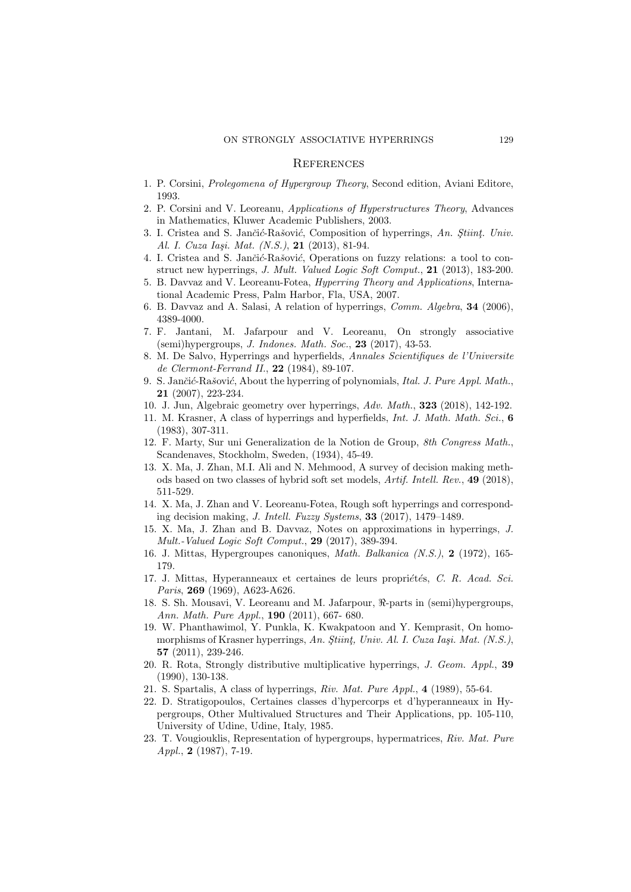#### **REFERENCES**

- 1. P. Corsini, Prolegomena of Hypergroup Theory, Second edition, Aviani Editore, 1993.
- 2. P. Corsini and V. Leoreanu, Applications of Hyperstructures Theory, Advances in Mathematics, Kluwer Academic Publishers, 2003.
- 3. I. Cristea and S. Jančić-Rašović, Composition of hyperrings, An. Stiint, Univ. Al. I. Cuza Iași. Mat. (N.S.), 21 (2013), 81-94.
- 4. I. Cristea and S. Jančić-Rašović, Operations on fuzzy relations: a tool to construct new hyperrings, J. Mult. Valued Logic Soft Comput., 21 (2013), 183-200.
- 5. B. Davvaz and V. Leoreanu-Fotea, Hyperring Theory and Applications, International Academic Press, Palm Harbor, Fla, USA, 2007.
- 6. B. Davvaz and A. Salasi, A relation of hyperrings, Comm. Algebra, 34 (2006), 4389-4000.
- 7. F. Jantani, M. Jafarpour and V. Leoreanu, On strongly associative  $(\text{semi})$ hypergroups, *J. Indones. Math. Soc.*, **23** (2017), 43-53.
- 8. M. De Salvo, Hyperrings and hyperfields, Annales Scientifiques de l'Universite de Clermont-Ferrand II., 22 (1984), 89-107.
- 9. S. Jančić-Rašović, About the hyperring of polynomials, Ital. J. Pure Appl. Math., 21 (2007), 223-234.
- 10. J. Jun, Algebraic geometry over hyperrings, Adv. Math., 323 (2018), 142-192.
- 11. M. Krasner, A class of hyperrings and hyperfields, Int. J. Math. Math. Sci., 6 (1983), 307-311.
- 12. F. Marty, Sur uni Generalization de la Notion de Group, 8th Congress Math., Scandenaves, Stockholm, Sweden, (1934), 45-49.
- 13. X. Ma, J. Zhan, M.I. Ali and N. Mehmood, A survey of decision making methods based on two classes of hybrid soft set models, Artif. Intell. Rev., 49 (2018), 511-529.
- 14. X. Ma, J. Zhan and V. Leoreanu-Fotea, Rough soft hyperrings and corresponding decision making, *J. Intell. Fuzzy Systems*, **33** (2017), 1479–1489.
- 15. X. Ma, J. Zhan and B. Davvaz, Notes on approximations in hyperrings, J. Mult.-Valued Logic Soft Comput., 29 (2017), 389-394.
- 16. J. Mittas, Hypergroupes canoniques, Math. Balkanica (N.S.), 2 (1972), 165- 179.
- 17. J. Mittas, Hyperanneaux et certaines de leurs propriétés, C. R. Acad. Sci. Paris, 269 (1969), A623-A626.
- 18. S. Sh. Mousavi, V. Leoreanu and M. Jafarpour,  $\Re$ -parts in (semi)hypergroups, Ann. Math. Pure Appl., 190 (2011), 667- 680.
- 19. W. Phanthawimol, Y. Punkla, K. Kwakpatoon and Y. Kemprasit, On homomorphisms of Krasner hyperrings, An. Stiint, Univ. Al. I. Cuza Iași. Mat. (N.S.), 57 (2011), 239-246.
- 20. R. Rota, Strongly distributive multiplicative hyperrings, J. Geom. Appl., 39 (1990), 130-138.
- 21. S. Spartalis, A class of hyperrings, Riv. Mat. Pure Appl., 4 (1989), 55-64.
- 22. D. Stratigopoulos, Certaines classes d'hypercorps et d'hyperanneaux in Hypergroups, Other Multivalued Structures and Their Applications, pp. 105-110, University of Udine, Udine, Italy, 1985.
- 23. T. Vougiouklis, Representation of hypergroups, hypermatrices, Riv. Mat. Pure Appl., 2 (1987), 7-19.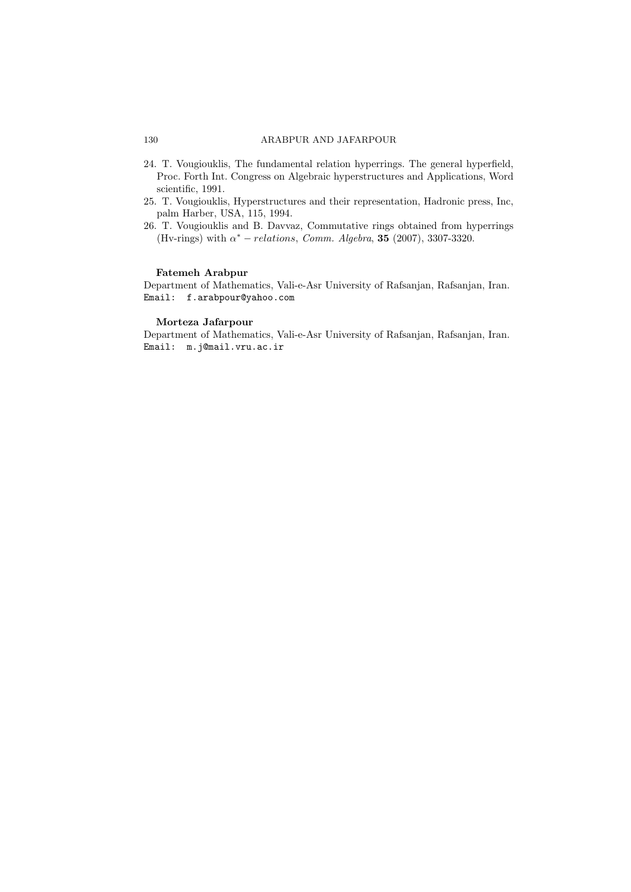- 24. T. Vougiouklis, The fundamental relation hyperrings. The general hyperfield, Proc. Forth Int. Congress on Algebraic hyperstructures and Applications, Word scientific, 1991.
- 25. T. Vougiouklis, Hyperstructures and their representation, Hadronic press, Inc, palm Harber, USA, 115, 1994.
- 26. T. Vougiouklis and B. Davvaz, Commutative rings obtained from hyperrings (Hv-rings) with  $\alpha^*$  – relations, Comm. Algebra, **35** (2007), 3307-3320.

# Fatemeh Arabpur

Department of Mathematics, Vali-e-Asr University of Rafsanjan, Rafsanjan, Iran. Email: f.arabpour@yahoo.com

# Morteza Jafarpour

Department of Mathematics, Vali-e-Asr University of Rafsanjan, Rafsanjan, Iran. Email: m.j@mail.vru.ac.ir